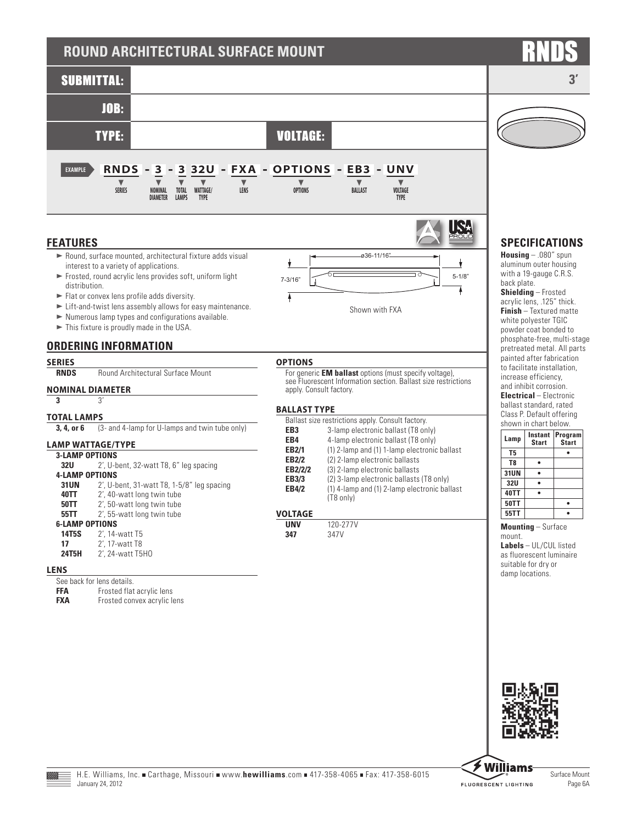# **ROUND ARCHITECTURAL SURFACE MOUNT**



## **FEATURES**

- $\blacktriangleright$  Round, surface mounted, architectural fixture adds visual interest to a variety of applications.
- $\blacktriangleright$  Frosted, round acrylic lens provides soft, uniform light distribution.
- $\blacktriangleright$  Flat or convex lens profile adds diversity.
- $\blacktriangleright$  Lift-and-twist lens assembly allows for easy maintenance.
- $\blacktriangleright$  Numerous lamp types and configurations available.
- $\blacktriangleright$  This fixture is proudly made in the USA.

## **ORDERING INFORMATION**

## **SERIES**

**RNDS** Round Architectural Surface Mount

## **NOMINAL DIAMETER**

**3** 3'

### **TOTAL LAMPS**

**3, 4, or 6** (3- and 4-lamp for U-lamps and twin tube only)

## **LAMP WATTAGE/TYPE**

| <b>3-LAMP OPTIONS</b> |                                               |
|-----------------------|-----------------------------------------------|
| 32U                   | 2', U-bent, 32-watt T8, 6" leg spacing        |
| <b>4-LAMP OPTIONS</b> |                                               |
| <b>31UN</b>           | $2'$ , U-bent, 31-watt T8, 1-5/8" leg spacing |
| 40TT                  | 2', 40-watt long twin tube                    |
| <b>50TT</b>           | 2', 50-watt long twin tube                    |
| 55TT                  | 2', 55-watt long twin tube                    |
| <b>6-LAMP OPTIONS</b> |                                               |
| 14T5S                 | 2', 14-watt T5                                |
| 17                    | 2', 17-watt T8                                |
| 24T5H                 | 2', 24-watt T5H0                              |

### **LENS**

|     | See back for lens details. |  |
|-----|----------------------------|--|
| FFA | Frosted flat acrylic lens  |  |
|     |                            |  |

**FXA** Frosted convex acrylic lens

## **OPTIONS**

Ā

For generic **EM ballast** options (must specify voltage), see Fluorescent Information section. Ballast size restrictions apply. Consult factory.

Shown with FXA

5-1/8" 7-3/16"

ø36-11/16"

### **BALLAST TYPE**

| Ballast size restrictions apply. Consult factory. |                                              |  |  |  |  |
|---------------------------------------------------|----------------------------------------------|--|--|--|--|
| EB <sub>3</sub>                                   | 3-lamp electronic ballast (T8 only)          |  |  |  |  |
| EB4                                               | 4-lamp electronic ballast (T8 only)          |  |  |  |  |
| <b>EB2/1</b>                                      | (1) 2-lamp and (1) 1-lamp electronic ballast |  |  |  |  |
| <b>EB2/2</b>                                      | (2) 2-lamp electronic ballasts               |  |  |  |  |
| EB2/2/2                                           | (3) 2-lamp electronic ballasts               |  |  |  |  |
| EB3/3                                             | (2) 3-lamp electronic ballasts (T8 only)     |  |  |  |  |
| <b>EB4/2</b>                                      | (1) 4-lamp and (1) 2-lamp electronic ballast |  |  |  |  |
|                                                   | (T8 only)                                    |  |  |  |  |
|                                                   |                                              |  |  |  |  |

## **VOLTAGE**

| unv  | 120-2     |
|------|-----------|
| -247 | 47V<br>-2 |

**UNV** 120-277V



## **SPECIFICATIONS**

ISA

Ą

**Housing** – .080" spun aluminum outer housing with a 19-gauge C.R.S. back plate. **Shielding** – Frosted acrylic lens, .125" thick. **Finish** – Textured matte white polyester TGIC powder coat bonded to phosphate-free, multi-stage pretreated metal. All parts painted after fabrication to facilitate installation, increase efficiency, and inhibit corrosion. **Electrical** – Electronic ballast standard, rated Class P. Default offering shown in chart below.

| Lamp        | Instant<br><b>Start</b> | Program<br><b>Start</b> |  |  |  |  |
|-------------|-------------------------|-------------------------|--|--|--|--|
| T5          |                         |                         |  |  |  |  |
| T8          |                         |                         |  |  |  |  |
| 31UN        |                         |                         |  |  |  |  |
| 32U         |                         |                         |  |  |  |  |
| <b>40TT</b> |                         |                         |  |  |  |  |
| <b>50TT</b> |                         |                         |  |  |  |  |
| 55TT        |                         |                         |  |  |  |  |

**Mounting** – Surface mount.

**Labels** – UL/CUL listed as fluorescent luminaire suitable for dry or damp locations.





Surface Mount



**Williams**